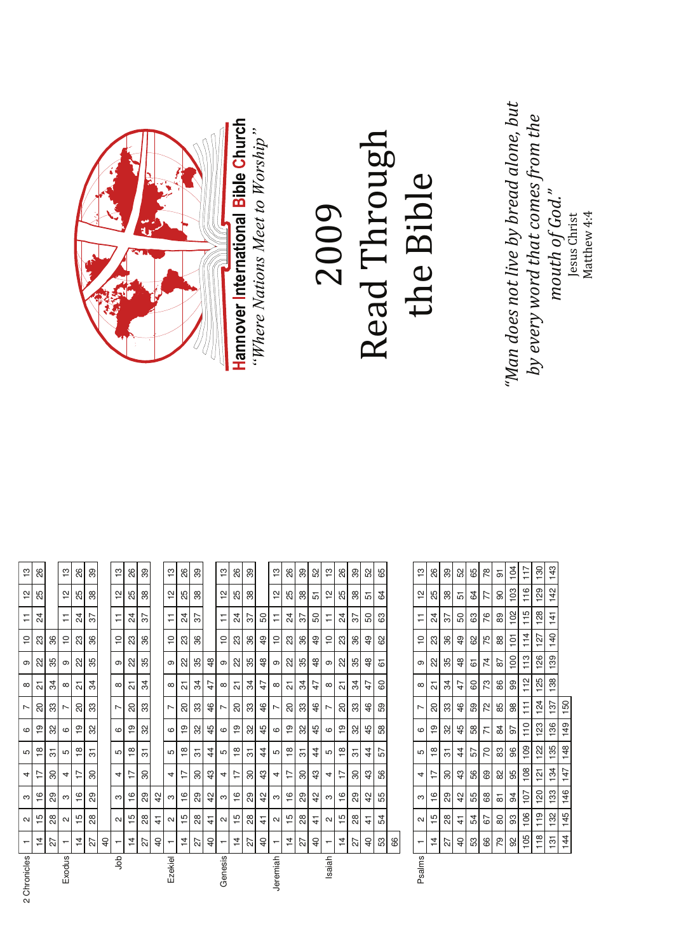| by every word that comes from th            | 130<br>$\frac{1}{11}$   | 129<br>116               | 128<br>115                 | 114<br>127          | 126<br>113                        | 125<br>112                   | 124                      | $\overline{23}$<br>$\frac{10}{1}$ | 122<br>109                     | 108<br>121      | 120<br>107         | 119<br>106                         | 118<br>105                       |          |
|---------------------------------------------|-------------------------|--------------------------|----------------------------|---------------------|-----------------------------------|------------------------------|--------------------------|-----------------------------------|--------------------------------|-----------------|--------------------|------------------------------------|----------------------------------|----------|
| "Man does not live by bread alone, $\it{l}$ | 104                     | 103                      | 102                        | $\overline{5}$      | 100                               | 8                            | 88                       | 5                                 | 96                             | 95              | 34                 | 93                                 | 92                               |          |
|                                             | $\overline{\mathbf{c}}$ | $\infty$                 | $_{89}$                    | 88                  | 87                                | $86$                         | 85                       | $\frac{4}{3}$                     | $\frac{3}{2}$                  | $\frac{8}{2}$   | $\overline{\circ}$ | $\rm ^{80}$                        | $\mathbb{R}$                     |          |
|                                             | 78                      | 77                       | 76                         | 75                  | 74                                | $\mathbb{Z}^2$               | 72                       | $\overline{7}$                    | $\overline{C}$                 | 89              | 68                 | 57                                 | $66\,$                           |          |
|                                             | 65                      | 64                       | $63\,$                     | 8                   | 6                                 | $60\,$                       | 59                       | 58                                | 57                             | 56              | 55                 | 54                                 | ${\tt s}$                        |          |
|                                             | 52                      | 51                       | 50                         | $\overline{6}$      | $48$                              | 47                           | 46                       | 45                                | $\frac{4}{4}$                  | $\sqrt{3}$      | 42                 | $\frac{1}{4}$                      | $\overline{40}$                  |          |
|                                             | 39                      | $38\,$                   | 57                         | 86                  | 35                                | 34                           | 33                       | $\mathcal{S}^{\mathcal{S}}$       | $\overline{\mathfrak{S}}$      | $\rm ^{5}$      | 29                 | $28$                               | 27                               |          |
|                                             | $26\,$                  | 25                       | $\overline{24}$            | 23                  | 22                                | $\overline{\mathbf{c}}$      | 8                        | $\frac{6}{5}$                     | $\frac{\infty}{2}$             | $\overline{1}$  | $\frac{6}{1}$      | $\frac{15}{2}$                     | $\frac{4}{3}$                    |          |
| the Bible                                   | $\frac{1}{2}$           | $\frac{1}{2}$            | $\overline{r}$             | $\tilde{c}$         | $\sigma$                          | $\infty$                     | L                        | $\circ$                           | LO                             | 4               | ო                  | $\mathbf{a}$                       | $\overline{a}$                   | Psalms   |
|                                             |                         |                          |                            |                     |                                   |                              |                          |                                   |                                |                 |                    |                                    | 89                               |          |
| Read Through                                | 65                      | \$                       | යි                         | 8                   | 6                                 | 60                           | 59                       | $58\,$                            | 57                             | 56              | 55                 | 54                                 | 53                               |          |
|                                             | S <sub>2</sub>          | 5                        | 50                         | $\overline{6}$      | $\frac{8}{3}$                     | 47                           | 46                       | 45                                | $\overline{4}$                 | $\frac{3}{4}$   | 42                 | $\frac{4}{3}$                      | $\overline{4}$                   |          |
|                                             | 39                      | $38\,$                   | 57                         | 36                  | 35                                | 34                           | 33                       | 32                                | $\overline{\mathfrak{S}}$      | 80              | 29                 | $^{28}$                            | 27                               |          |
|                                             | 26                      | 25                       | $^{24}$                    | 23                  | 2                                 | $\overline{\mathbf{c}}$      | $\Omega$                 | ഉ                                 | $\overset{\circ}{\phantom{a}}$ | $\overline{1}$  | $\frac{6}{1}$      | $\frac{5}{1}$                      | $\overline{4}$                   |          |
| 2009                                        | $\frac{1}{2}$           | $\overline{\mathcal{L}}$ | $\overline{a}$             | $\overline{C}$      | $\mathfrak{S}$                    | $\infty$                     | L                        | 6                                 | $\mathfrak{S}$                 | 4               | S                  | $\sim$                             |                                  | Isaiah   |
|                                             | 52                      | 57                       | 50                         | $\overline{6}$      | $48$                              | 47                           | 46                       | 45                                | $\overline{4}$                 | $\sqrt{3}$      | 42                 | $\frac{1}{4}$                      | $\overline{40}$                  |          |
|                                             | $39$                    | $38\,$                   | $\sqrt{3}$                 | 86                  | 35                                | 34                           | ಜ                        | $32\,$                            | $\overline{\mathfrak{S}}$      | 80              | 29                 | $28$                               | $\overline{27}$                  |          |
|                                             | 26                      | 25                       | 24                         | $\mathbbm{S}$       | $_{22}$                           | $\overline{\mathsf{N}}$      | $\hbox{S}$               | $\mathbf{S}$                      | $\overset{\circ}{=}$           | $\overline{1}$  | $\frac{6}{1}$      | $\frac{5}{1}$                      | $\overline{4}$                   |          |
|                                             | $\frac{1}{2}$           | $\tilde{a}$              | 50<br>Ξ                    | 49<br>$\frac{1}{2}$ | $\frac{8}{3}$<br>$\mathbf{\circ}$ | 47<br>$\infty$               | 46<br>$\overline{ }$     | 45<br>$\mathbf{\circ}$            | $\overline{4}$<br>S            | $\sqrt{3}$<br>4 | 42<br>S            | $\frac{1}{4}$<br>$\mathbf{\alpha}$ | $\overline{4}$<br>$\overline{ }$ | Jeremiah |
| "Where Nations Meet to Worship"             | 39                      | 38                       | 57                         | 36                  | 35                                | 34                           | 33                       | 32                                | 75                             | 30              | 29                 | $^{28}$                            | 27                               |          |
| Hannover International Bible Church         | $26\,$                  | 25                       | $\overline{24}$            | $\mathbb{S}^2$      | $\approx$                         | $\overline{\mathsf{\alpha}}$ | $\overline{\mathcal{S}}$ | $\overline{e}$                    | $\frac{8}{10}$                 | $\overline{1}$  | $\frac{6}{1}$      | $\frac{15}{2}$                     | $\frac{4}{3}$                    |          |
|                                             | $\frac{1}{2}$           | $\tilde{c}$              | $\overline{1}$             | $\frac{1}{2}$       | $\, \circ \,$                     | $\infty$                     | $\overline{ }$           | $\circ$                           | $\mathfrak{g}$                 | 4               | ო                  | $\boldsymbol{\sim}$                | $\overline{ }$                   | Genesis  |
|                                             |                         |                          |                            |                     | $48$                              | 47                           | 46                       | 45                                | $\frac{4}{3}$                  | $43\,$          | 42                 | $\frac{1}{4}$                      | 40                               |          |
|                                             | 89                      | 38                       | $\overline{\mathcal{E}}$   | 36                  | 35                                | 34                           | 33                       | 32                                | $\overline{\mathfrak{S}}$      | $\rm ^{50}$     | 29                 | $_{\rm 28}$                        | 27                               |          |
|                                             | 88                      | 25                       | $\overline{24}$            | 23                  | 22                                | $\overline{\mathsf{\Omega}}$ | $\overline{\mathbf{S}}$  | $\frac{1}{6}$                     | $\frac{\infty}{2}$             | $\ddot{ }$      | $\frac{6}{1}$      | $\frac{1}{2}$                      | $\frac{4}{5}$                    |          |
|                                             | $\frac{1}{2}$           | $\tilde{c}$              | Ξ                          | $\frac{1}{2}$       | $\, \circ \,$                     | $\infty$                     | $\overline{ }$           | $\mathbf \omega$                  | Б                              | 4               | S                  | $\boldsymbol{\sim}$                | $\overline{\phantom{0}}$         | Ezekiel  |
|                                             |                         |                          |                            |                     |                                   |                              |                          |                                   |                                |                 | 42                 | $\frac{4}{1}$                      | $\overline{40}$                  |          |
|                                             | 89                      | $38\,$                   | 52                         | 86                  | 35                                | 34                           | $33\,$                   | 3                                 | $\overline{\mathbb{S}}$        | ೫               | $^{29}$            | $28\,$                             | 27                               |          |
|                                             | 26                      | 25                       | $\overline{a}$             | $\mathbb S$         | $^{\rm 22}$                       | $\overline{\mathsf{c}}$      | $\rm ^{\rm o}$           | $\overline{e}$                    | $\frac{\infty}{2}$             | $\overline{1}$  | $\frac{6}{1}$      | $\frac{5}{1}$                      | $\overline{4}$                   |          |
|                                             | $\frac{1}{2}$           | $\frac{1}{2}$            | $\overleftarrow{\text{+}}$ | $\overline{c}$      | $\sigma$                          | $\infty$                     | $\overline{\phantom{a}}$ | $\circ$                           | 5                              | 4               | S                  | $\sim$                             | ٣                                | dop      |
|                                             |                         |                          |                            |                     |                                   |                              |                          |                                   |                                |                 |                    |                                    | $\overline{40}$                  |          |
|                                             | 39                      | 38                       | 57                         | 86                  | 35                                | 34                           | $\mathfrak{S}$           | 32                                | $\overline{\mathfrak{S}}$      | 80              | 29                 | $28$                               | 27                               |          |
|                                             | $\frac{8}{2}$           | 25                       | $\overline{2}$             | 23                  | 22                                | $\overline{\mathsf{\Omega}}$ | SO                       | $\overline{e}$                    | $\overset{\circ}{=}$           | $\ddot{ }$      | $\frac{6}{1}$      | $\frac{15}{2}$                     | $\dot{z}$                        |          |
|                                             | $\frac{1}{2}$           | $\frac{1}{2}$            | Ξ                          | $\frac{1}{2}$       | თ                                 | $\infty$                     | Ņ                        | ဖ                                 | Б                              | 4               | ო                  | $\boldsymbol{\sim}$                | $\overline{ }$                   | Exodus   |
|                                             |                         |                          |                            | 36                  | 35                                | 34                           | 33                       | 32                                | $\overline{\mathfrak{S}}$      | 80              | 29                 | $_{28}$                            | $\overline{\Omega}$              |          |
|                                             | 24   25   26            |                          |                            | $\mathbb{S}^2$      | $\approx$                         | 21                           | $19 \mid 20$             |                                   | $\frac{18}{18}$                | 16   17         |                    | 15                                 | $\frac{14}{1}$                   |          |

 $\frac{1}{2}$ 

  $\frac{1}{11}$ 

  $\sigma$ 

 $\alpha$ 

 $\overline{\phantom{0}}$  $\mathbf{r}$ 

 $\alpha$ 

 $\alpha$ 

 $\overline{\phantom{0}}$ 

2 Chronicles

live by bread alone, but  $he$ comes from t h of God." ew 4:4 rist Jesus Ch hat Matth by every word t mout Ź

> $\frac{3}{43}$  $\frac{2}{14}$

 $\frac{1}{41}$  $rac{1}{2}$  $\frac{39}{2}$  $\frac{88}{1}$   $\frac{8}{1}$ 

 $\frac{34}{1}$  $\frac{33}{2}$